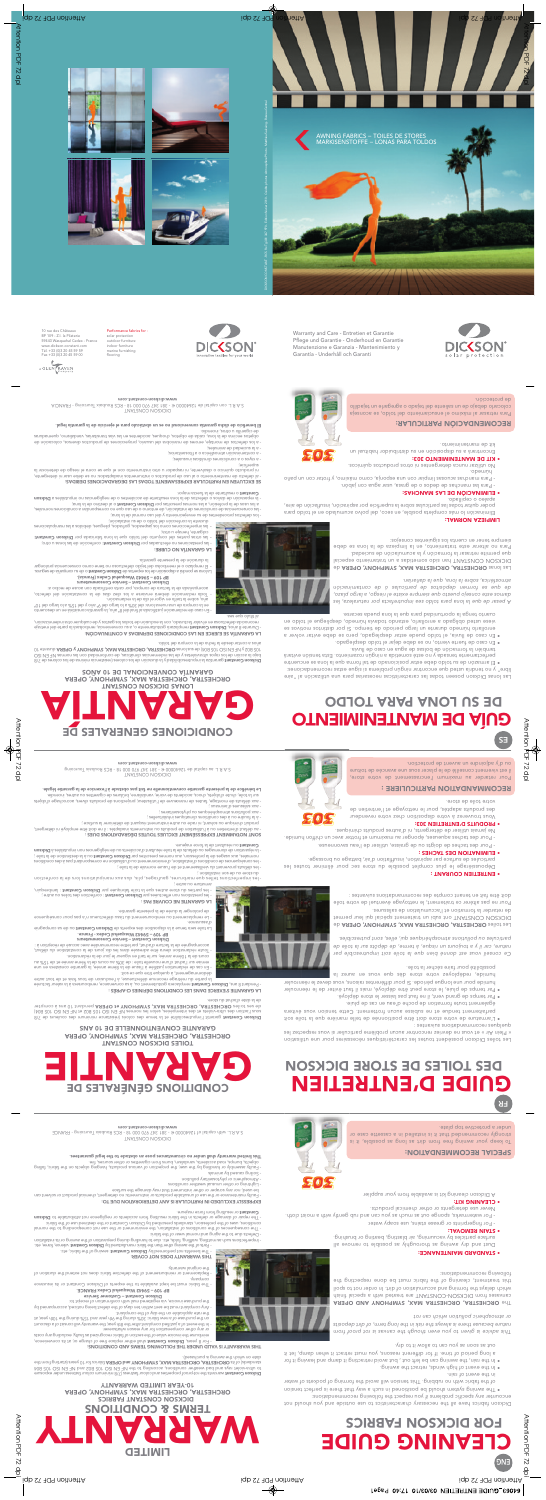



10 rue des Châteaux BP 109 - Z.I. la Pilaterie 59443 Wasquehal Cedex - France [www.dickson-constant.com](http://www.dickson-constant.com) Tél. +33 (0)3 20 45 59 59 Fax +33 (0)3 20 45 59 00

#### Performance fabrics for :

solar protection outdoor furniture indoor furniture marine furnishing flooring



Warranty and Care - Entretien et Garantie Pflege und Garantie - Onderhoud en Garantie Manutenzione e Garanzia - Mantenimiento y Garantía - Underhåll och Garanti